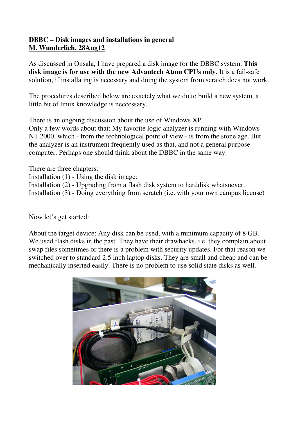## **DBBC – Disk images and installations in general M. Wunderlich, 28Aug12**

As discussed in Onsala, I have prepared a disk image for the DBBC system. **This disk image is for use with the new Advantech Atom CPUs only**. It is a fail-safe solution, if installating is necessary and doing the system from scratch does not work.

The procedures described below are exactely what we do to build a new system, a little bit of linux knowledge is neccessary.

There is an ongoing discussion about the use of Windows XP. Only a few words about that: My favorite logic analyzer is running with Windows

NT 2000, which - from the technological point of view - is from the stone age. But the analyzer is an instrument frequently used as that, and not a general purpose computer. Perhaps one should think about the DBBC in the same way.

There are three chapters:

Installation (1) - Using the disk image:

Installation (2) - Upgrading from a flash disk system to harddisk whatsoever.

Installation (3) - Doing everything from scratch (i.e. with your own campus license)

Now let's get started:

About the target device: Any disk can be used, with a minimum capacity of 8 GB. We used flash disks in the past. They have their drawbacks, i.e. they complain about swap files sometimes or there is a problem with security updates. For that reason we switched over to standard 2.5 inch laptop disks. They are small and cheap and can be mechanically inserted easily. There is no problem to use solid state disks as well.

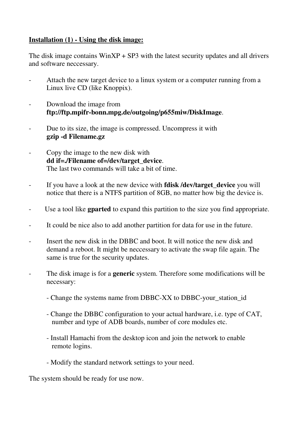## **Installation (1) - Using the disk image:**

The disk image contains  $W \in \{S}P3$  with the latest security updates and all drivers and software neccessary.

- Attach the new target device to a linux system or a computer running from a Linux live CD (like Knoppix).
- Download the image from **ftp://ftp.mpifr-bonn.mpg.de/outgoing/p655miw/DiskImage**.
- Due to its size, the image is compressed. Uncompress it with **gzip -d Filename.gz**
- Copy the image to the new disk with **dd if=./Filename of=/dev/target\_device**. The last two commands will take a bit of time.
- If you have a look at the new device with **fdisk /dev/target\_device** you will notice that there is a NTFS partition of 8GB, no matter how big the device is.
- Use a tool like **gparted** to expand this partition to the size you find appropriate.
- It could be nice also to add another partition for data for use in the future.
- Insert the new disk in the DBBC and boot. It will notice the new disk and demand a reboot. It might be neccessary to activate the swap file again. The same is true for the security updates.
- The disk image is for a **generic** system. Therefore some modifications will be necessary:
	- Change the systems name from DBBC-XX to DBBC-your station id
	- Change the DBBC configuration to your actual hardware, i.e. type of CAT, number and type of ADB boards, number of core modules etc.
	- Install Hamachi from the desktop icon and join the network to enable remote logins.
	- Modify the standard network settings to your need.

The system should be ready for use now.